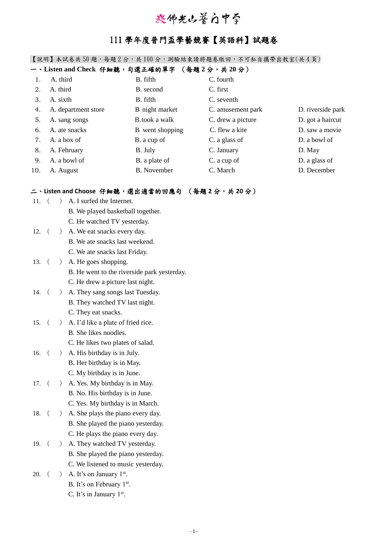# 兴佛光山普白中学

## 111 學年度普門盃學藝競賽【英語科】試題卷

【說明】本試卷共 50 題,每題 2 分,共 100 分,測驗結束請將題卷繳回,不可私自攜帶出教室(共 4 頁)

### 一、**Listen and Check** 仔細聽,勾選正確的單字 (每題 **2** 分,共 **20** 分)

|     | A. third            | B. fifth               | C. fourth         |                   |
|-----|---------------------|------------------------|-------------------|-------------------|
| 2.  | A. third            | B. second              | C. first          |                   |
| 3.  | A. sixth            | B. fifth               | C. seventh        |                   |
| 4.  | A. department store | <b>B</b> night market  | C. amusement park | D. riverside park |
| 5.  | A. sang songs       | <b>B</b> .took a walk  | C. drew a picture | D. got a haircut  |
| 6.  | A. ate snacks       | <b>B</b> went shopping | C. flew a kite    | D. saw a movie    |
| 7.  | A. a box of         | B. a cup of            | C. a glass of     | D. a bowl of      |
| 8.  | A. February         | B. July                | C. January        | D. May            |
| 9.  | A. a bowl of        | B. a plate of          | C. a cup of       | D. a glass of     |
| 10. | A. August           | B. November            | C. March          | D. December       |

#### 二、**Listen and Choose** 仔細聽,選出適當的回應句 (每題 **2** 分,共 **20** 分)

| 11.     |            | $\left( \right)$                                | A. I surfed the Internet.                   |
|---------|------------|-------------------------------------------------|---------------------------------------------|
|         |            |                                                 | B. We played basketball together.           |
|         |            |                                                 | C. He watched TV yesterday.                 |
| 12.     | $\sqrt{2}$ | $\left( \right)$                                | A. We eat snacks every day.                 |
|         |            |                                                 | B. We ate snacks last weekend.              |
|         |            |                                                 | C. We ate snacks last Friday.               |
| 13.     | $\sqrt{2}$ |                                                 | (A. He goes shopping.                       |
|         |            |                                                 | B. He went to the riverside park yesterday. |
|         |            |                                                 | C. He drew a picture last night.            |
| 14.     | $\sqrt{2}$ | $\left( \begin{array}{c} 1 \end{array} \right)$ | A. They sang songs last Tuesday.            |
|         |            |                                                 | B. They watched TV last night.              |
|         |            |                                                 | C. They eat snacks.                         |
| 15.     | $\sqrt{2}$ | $\left( \frac{1}{2} \right)$                    | A. I'd like a plate of fried rice.          |
|         |            |                                                 | B. She likes noodles.                       |
|         |            |                                                 | C. He likes two plates of salad.            |
| 16.     | $\sqrt{ }$ |                                                 | ) A. His birthday is in July.               |
|         |            |                                                 | B. Her birthday is in May.                  |
|         |            |                                                 | C. My birthday is in June.                  |
| 17.     | $\left($   | $\left( \right)$                                | A. Yes. My birthday is in May.              |
|         |            |                                                 | B. No. His birthday is in June.             |
|         |            |                                                 | C. Yes. My birthday is in March.            |
| 18.     | $\left($   |                                                 | ) A. She plays the piano every day.         |
|         |            |                                                 | B. She played the piano yesterday.          |
|         |            |                                                 | C. He plays the piano every day.            |
| 19. $($ |            |                                                 | ) A. They watched TV yesterday.             |
|         |            |                                                 | B. She played the piano yesterday.          |
|         |            |                                                 | C. We listened to music yesterday.          |
| 20.     | $\sqrt{2}$ |                                                 | ) A. It's on January $1st$ .                |
|         |            |                                                 | B. It's on February 1 <sup>st</sup> .       |
|         |            |                                                 | C. It's in January $1st$ .                  |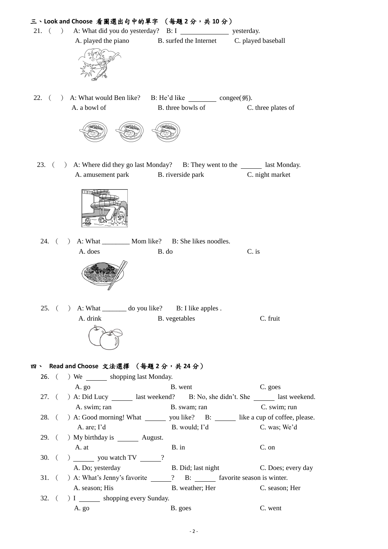